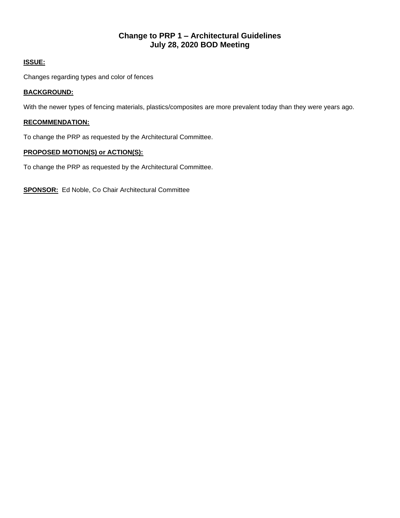# **Change to PRP 1 – Architectural Guidelines July 28, 2020 BOD Meeting**

### **ISSUE:**

Changes regarding types and color of fences

#### **BACKGROUND:**

With the newer types of fencing materials, plastics/composites are more prevalent today than they were years ago.

### **RECOMMENDATION:**

To change the PRP as requested by the Architectural Committee.

### **PROPOSED MOTION(S) or ACTION(S):**

To change the PRP as requested by the Architectural Committee.

**SPONSOR:** Ed Noble, Co Chair Architectural Committee